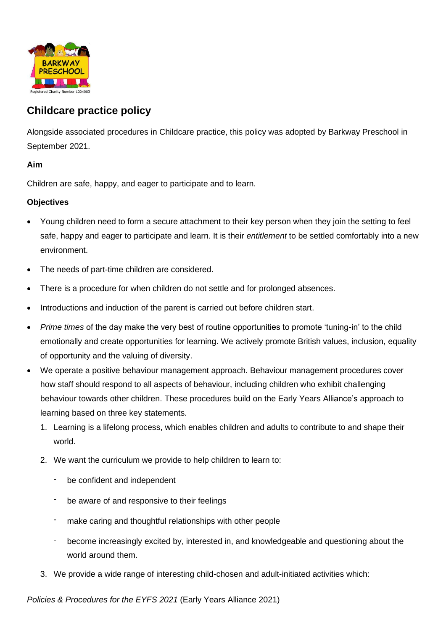

# **Childcare practice policy**

Alongside associated procedures in Childcare practice, this policy was adopted by Barkway Preschool in September 2021.

### **Aim**

Children are safe, happy, and eager to participate and to learn.

### **Objectives**

- Young children need to form a secure attachment to their key person when they join the setting to feel safe, happy and eager to participate and learn. It is their *entitlement* to be settled comfortably into a new environment.
- The needs of part-time children are considered.
- There is a procedure for when children do not settle and for prolonged absences.
- Introductions and induction of the parent is carried out before children start.
- *Prime times* of the day make the very best of routine opportunities to promote 'tuning-in' to the child emotionally and create opportunities for learning. We actively promote British values, inclusion, equality of opportunity and the valuing of diversity.
- We operate a positive behaviour management approach. Behaviour management procedures cover how staff should respond to all aspects of behaviour, including children who exhibit challenging behaviour towards other children. These procedures build on the Early Years Alliance's approach to learning based on three key statements.
	- 1. Learning is a lifelong process, which enables children and adults to contribute to and shape their world.
	- 2. We want the curriculum we provide to help children to learn to:
		- be confident and independent
		- be aware of and responsive to their feelings
		- make caring and thoughtful relationships with other people
		- become increasingly excited by, interested in, and knowledgeable and questioning about the world around them.
	- 3. We provide a wide range of interesting child-chosen and adult-initiated activities which:

*Policies & Procedures for the EYFS 2021* (Early Years Alliance 2021)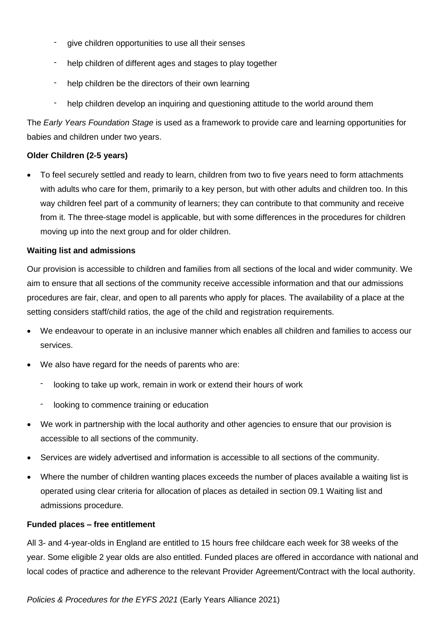- give children opportunities to use all their senses
- help children of different ages and stages to play together
- help children be the directors of their own learning
- help children develop an inquiring and questioning attitude to the world around them

The *Early Years Foundation Stage* is used as a framework to provide care and learning opportunities for babies and children under two years.

### **Older Children (2-5 years)**

• To feel securely settled and ready to learn, children from two to five years need to form attachments with adults who care for them, primarily to a key person, but with other adults and children too. In this way children feel part of a community of learners; they can contribute to that community and receive from it. The three-stage model is applicable, but with some differences in the procedures for children moving up into the next group and for older children.

#### **Waiting list and admissions**

Our provision is accessible to children and families from all sections of the local and wider community. We aim to ensure that all sections of the community receive accessible information and that our admissions procedures are fair, clear, and open to all parents who apply for places. The availability of a place at the setting considers staff/child ratios, the age of the child and registration requirements.

- We endeavour to operate in an inclusive manner which enables all children and families to access our services.
- We also have regard for the needs of parents who are:
	- looking to take up work, remain in work or extend their hours of work
	- looking to commence training or education
- We work in partnership with the local authority and other agencies to ensure that our provision is accessible to all sections of the community.
- Services are widely advertised and information is accessible to all sections of the community.
- Where the number of children wanting places exceeds the number of places available a waiting list is operated using clear criteria for allocation of places as detailed in section 09.1 Waiting list and admissions procedure.

#### **Funded places – free entitlement**

All 3- and 4-year-olds in England are entitled to 15 hours free childcare each week for 38 weeks of the year. Some eligible 2 year olds are also entitled. Funded places are offered in accordance with national and local codes of practice and adherence to the relevant Provider Agreement/Contract with the local authority.